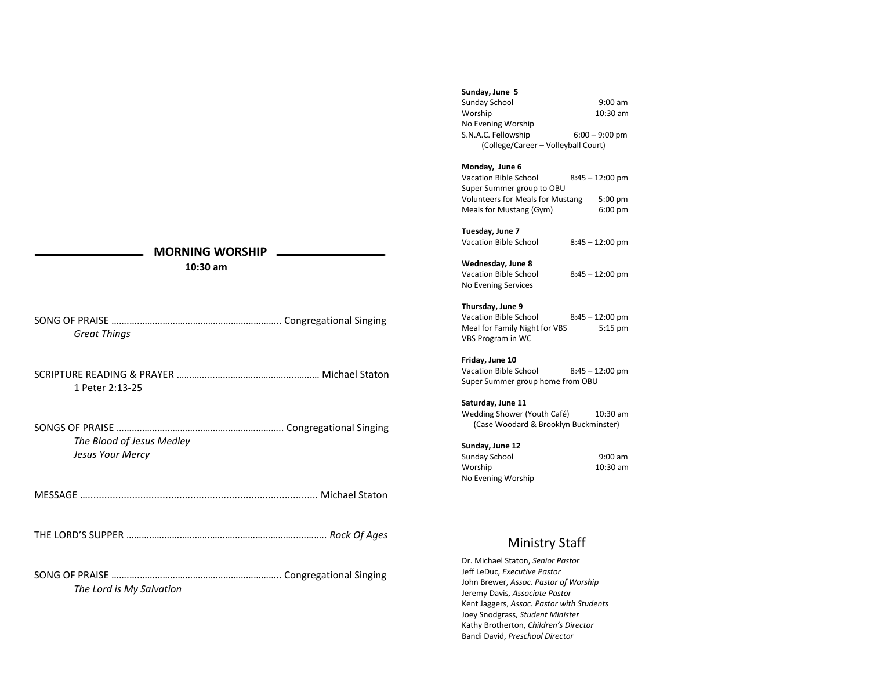# **MORNING WORSHIP**

 **10:30 am**

| Great Things |  |
|--------------|--|

SCRIPTURE READING & PRAYER …………...…………………………..……… Michael Staton 1 Peter 2:13-25

SONGS OF PRAISE …….………………………………………………….. Congregational Singing *The Blood of Jesus Medley Jesus Your Mercy*

MESSAGE …................................................................................... Michael Staton

THE LORD'S SUPPER …………………………………………………………..……….. *Rock Of Ages*

SONG OF PRAISE …….….……………………………………………….. Congregational Singing *The Lord is My Salvation*

# **Sunday, June 5**

Sunday School 9:00 am Worship 10:30 am No Evening Worship S.N.A.C. Fellowship 6:00 – 9:00 pm (College/Career – Volleyball Court)

### **Monday, June 6**

Vacation Bible School 8:45 – 12:00 pm Super Summer group to OBU Volunteers for Meals for Mustang 5:00 pm Meals for Mustang (Gym) 6:00 pm

#### **Tuesday, June 7**

Vacation Bible School 8:45 – 12:00 pm

## **Wednesday, June 8**

Vacation Bible School 8:45 – 12:00 pm No Evening Services

#### **Thursday, June 9**

Vacation Bible School 8:45 – 12:00 pm Meal for Family Night for VBS 5:15 pm VBS Program in WC

#### **Friday, June 10**

Vacation Bible School 8:45 – 12:00 pm Super Summer group home from OBU

# **Saturday, June 11**

Wedding Shower (Youth Café) 10:30 am (Case Woodard & Brooklyn Buckminster)

#### **Sunday, June 12**

| Sunday School      | $9:00$ am |
|--------------------|-----------|
| Worship            | 10:30 am  |
| No Evening Worship |           |

# Ministry Staff

Dr. Michael Staton, *Senior Pastor* Jeff LeDuc, *Executive Pastor* John Brewer, *Assoc. Pastor of Worship* Jeremy Davis, *Associate Pastor* Kent Jaggers, *Assoc. Pastor with Students* Joey Snodgrass, *Student Minister* Kathy Brotherton, *Children's Director* Bandi David, *Preschool Director*